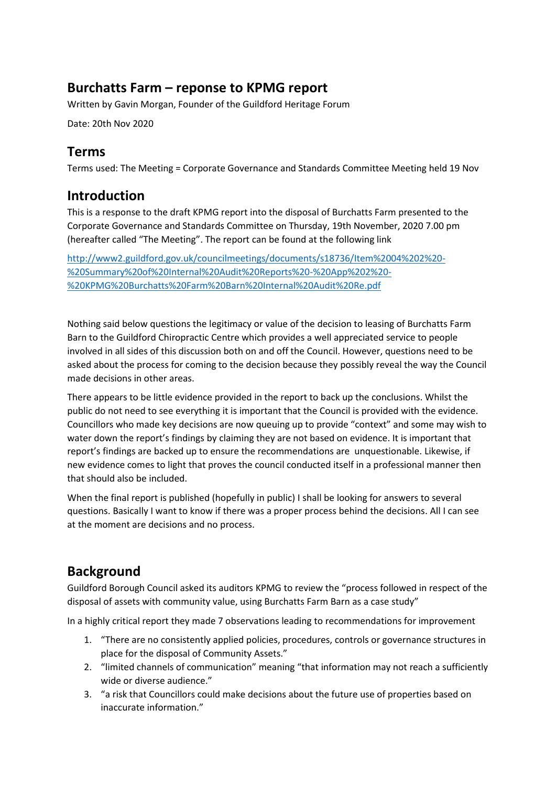# **Burchatts Farm – reponse to KPMG report**

Written by Gavin Morgan, Founder of the Guildford Heritage Forum

Date: 20th Nov 2020

#### **Terms**

Terms used: The Meeting = Corporate Governance and Standards Committee Meeting held 19 Nov

#### **Introduction**

This is a response to the draft KPMG report into the disposal of Burchatts Farm presented to the Corporate Governance and Standards Committee on Thursday, 19th November, 2020 7.00 pm (hereafter called "The Meeting". The report can be found at the following link

[http://www2.guildford.gov.uk/councilmeetings/documents/s18736/Item%2004%202%20-](http://www2.guildford.gov.uk/councilmeetings/documents/s18736/Item%2004%202%20-%20Summary%20of%20Internal%20Audit%20Reports%20-%20App%202%20-%20KPMG%20Burchatts%20Farm%20Barn%20Internal%20Audit%20Re.pdf) [%20Summary%20of%20Internal%20Audit%20Reports%20-%20App%202%20-](http://www2.guildford.gov.uk/councilmeetings/documents/s18736/Item%2004%202%20-%20Summary%20of%20Internal%20Audit%20Reports%20-%20App%202%20-%20KPMG%20Burchatts%20Farm%20Barn%20Internal%20Audit%20Re.pdf) [%20KPMG%20Burchatts%20Farm%20Barn%20Internal%20Audit%20Re.pdf](http://www2.guildford.gov.uk/councilmeetings/documents/s18736/Item%2004%202%20-%20Summary%20of%20Internal%20Audit%20Reports%20-%20App%202%20-%20KPMG%20Burchatts%20Farm%20Barn%20Internal%20Audit%20Re.pdf)

Nothing said below questions the legitimacy or value of the decision to leasing of Burchatts Farm Barn to the Guildford Chiropractic Centre which provides a well appreciated service to people involved in all sides of this discussion both on and off the Council. However, questions need to be asked about the process for coming to the decision because they possibly reveal the way the Council made decisions in other areas.

There appears to be little evidence provided in the report to back up the conclusions. Whilst the public do not need to see everything it is important that the Council is provided with the evidence. Councillors who made key decisions are now queuing up to provide "context" and some may wish to water down the report's findings by claiming they are not based on evidence. It is important that report's findings are backed up to ensure the recommendations are unquestionable. Likewise, if new evidence comes to light that proves the council conducted itself in a professional manner then that should also be included.

When the final report is published (hopefully in public) I shall be looking for answers to several questions. Basically I want to know if there was a proper process behind the decisions. All I can see at the moment are decisions and no process.

# **Background**

Guildford Borough Council asked its auditors KPMG to review the "process followed in respect of the disposal of assets with community value, using Burchatts Farm Barn as a case study"

In a highly critical report they made 7 observations leading to recommendations for improvement

- 1. "There are no consistently applied policies, procedures, controls or governance structures in place for the disposal of Community Assets."
- 2. "limited channels of communication" meaning "that information may not reach a sufficiently wide or diverse audience."
- 3. "a risk that Councillors could make decisions about the future use of properties based on inaccurate information."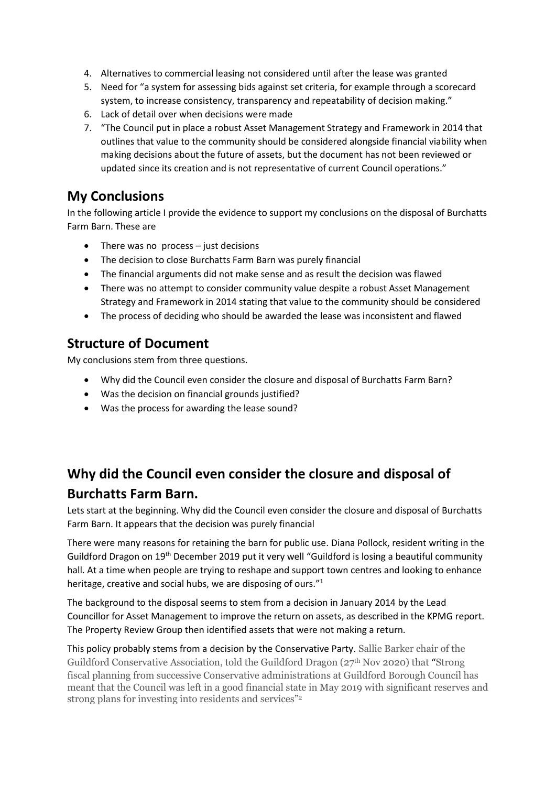- 4. Alternatives to commercial leasing not considered until after the lease was granted
- 5. Need for "a system for assessing bids against set criteria, for example through a scorecard system, to increase consistency, transparency and repeatability of decision making."
- 6. Lack of detail over when decisions were made
- 7. "The Council put in place a robust Asset Management Strategy and Framework in 2014 that outlines that value to the community should be considered alongside financial viability when making decisions about the future of assets, but the document has not been reviewed or updated since its creation and is not representative of current Council operations."

#### **My Conclusions**

In the following article I provide the evidence to support my conclusions on the disposal of Burchatts Farm Barn. These are

- There was no process just decisions
- The decision to close Burchatts Farm Barn was purely financial
- The financial arguments did not make sense and as result the decision was flawed
- There was no attempt to consider community value despite a robust Asset Management Strategy and Framework in 2014 stating that value to the community should be considered
- The process of deciding who should be awarded the lease was inconsistent and flawed

# **Structure of Document**

My conclusions stem from three questions.

- Why did the Council even consider the closure and disposal of Burchatts Farm Barn?
- Was the decision on financial grounds justified?
- Was the process for awarding the lease sound?

# **Why did the Council even consider the closure and disposal of Burchatts Farm Barn.**

Lets start at the beginning. Why did the Council even consider the closure and disposal of Burchatts Farm Barn. It appears that the decision was purely financial

There were many reasons for retaining the barn for public use. Diana Pollock, resident writing in the Guildford Dragon on 19<sup>th</sup> December 2019 put it very well "Guildford is losing a beautiful community hall. At a time when people are trying to reshape and support town centres and looking to enhance heritage, creative and social hubs, we are disposing of ours."<sup>1</sup>

The background to the disposal seems to stem from a decision in January 2014 by the Lead Councillor for Asset Management to improve the return on assets, as described in the KPMG report. The Property Review Group then identified assets that were not making a return.

This policy probably stems from a decision by the Conservative Party. Sallie Barker chair of the Guildford Conservative Association, told the Guildford Dragon (27th Nov 2020) that "Strong fiscal planning from successive Conservative administrations at Guildford Borough Council has meant that the Council was left in a good financial state in May 2019 with significant reserves and strong plans for investing into residents and services"<sup>2</sup>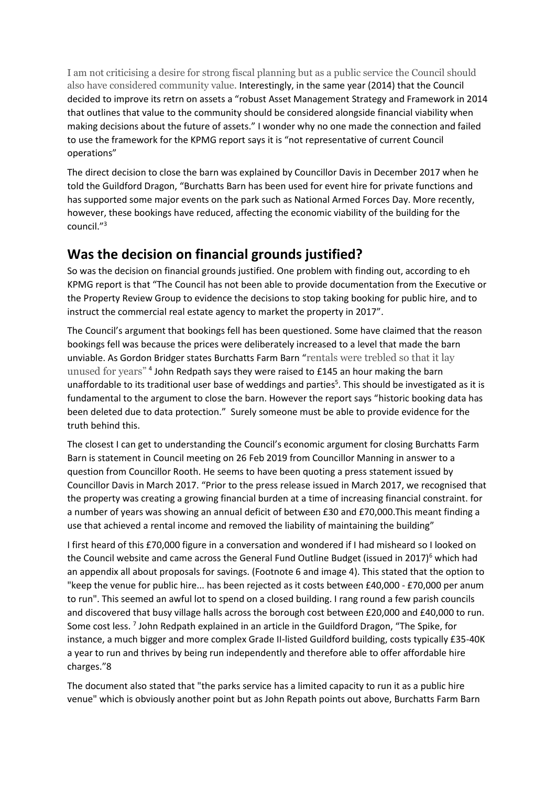I am not criticising a desire for strong fiscal planning but as a public service the Council should also have considered community value. Interestingly, in the same year (2014) that the Council decided to improve its retrn on assets a "robust Asset Management Strategy and Framework in 2014 that outlines that value to the community should be considered alongside financial viability when making decisions about the future of assets." I wonder why no one made the connection and failed to use the framework for the KPMG report says it is "not representative of current Council operations"

The direct decision to close the barn was explained by Councillor Davis in December 2017 when he told the Guildford Dragon, "Burchatts Barn has been used for event hire for private functions and has supported some major events on the park such as National Armed Forces Day. More recently, however, these bookings have reduced, affecting the economic viability of the building for the council."<sup>3</sup>

# **Was the decision on financial grounds justified?**

So was the decision on financial grounds justified. One problem with finding out, according to eh KPMG report is that "The Council has not been able to provide documentation from the Executive or the Property Review Group to evidence the decisions to stop taking booking for public hire, and to instruct the commercial real estate agency to market the property in 2017".

The Council's argument that bookings fell has been questioned. Some have claimed that the reason bookings fell was because the prices were deliberately increased to a level that made the barn unviable. As Gordon Bridger states Burchatts Farm Barn "rentals were trebled so that it lay unused for years"<sup>4</sup> John Redpath says they were raised to £145 an hour making the barn unaffordable to its traditional user base of weddings and parties<sup>5</sup>. This should be investigated as it is fundamental to the argument to close the barn. However the report says "historic booking data has been deleted due to data protection." Surely someone must be able to provide evidence for the truth behind this.

The closest I can get to understanding the Council's economic argument for closing Burchatts Farm Barn is statement in Council meeting on 26 Feb 2019 from Councillor Manning in answer to a question from Councillor Rooth. He seems to have been quoting a press statement issued by Councillor Davis in March 2017. "Prior to the press release issued in March 2017, we recognised that the property was creating a growing financial burden at a time of increasing financial constraint. for a number of years was showing an annual deficit of between £30 and £70,000.This meant finding a use that achieved a rental income and removed the liability of maintaining the building"

I first heard of this £70,000 figure in a conversation and wondered if I had misheard so I looked on the Council website and came across the General Fund Outline Budget (issued in 2017)<sup>6</sup> which had an appendix all about proposals for savings. (Footnote 6 and image 4). This stated that the option to "keep the venue for public hire... has been rejected as it costs between £40,000 - £70,000 per anum to run". This seemed an awful lot to spend on a closed building. I rang round a few parish councils and discovered that busy village halls across the borough cost between £20,000 and £40,000 to run. Some cost less.<sup>7</sup> John Redpath explained in an article in the Guildford Dragon, "The Spike, for instance, a much bigger and more complex Grade II-listed Guildford building, costs typically £35-40K a year to run and thrives by being run independently and therefore able to offer affordable hire charges."8

The document also stated that "the parks service has a limited capacity to run it as a public hire venue" which is obviously another point but as John Repath points out above, Burchatts Farm Barn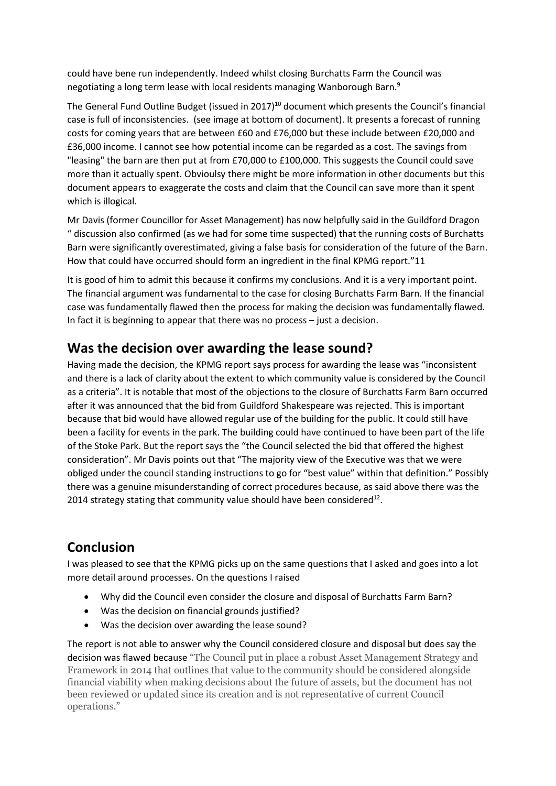could have bene run independently. Indeed whilst closing Burchatts Farm the Council was negotiating a long term lease with local residents managing Wanborough Barn.<sup>9</sup>

The General Fund Outline Budget (issued in 2017)<sup>10</sup> document which presents the Council's financial case is full of inconsistencies. (see image at bottom of document). It presents a forecast of running costs for coming years that are between £60 and £76,000 but these include between £20,000 and £36,000 income. I cannot see how potential income can be regarded as a cost. The savings from "leasing" the barn are then put at from £70,000 to £100,000. This suggests the Council could save more than it actually spent. Obvioulsy there might be more information in other documents but this document appears to exaggerate the costs and claim that the Council can save more than it spent which is illogical.

Mr Davis (former Councillor for Asset Management) has now helpfully said in the Guildford Dragon " discussion also confirmed (as we had for some time suspected) that the running costs of Burchatts Barn were significantly overestimated, giving a false basis for consideration of the future of the Barn. How that could have occurred should form an ingredient in the final KPMG report."11

It is good of him to admit this because it confirms my conclusions. And it is a very important point. The financial argument was fundamental to the case for closing Burchatts Farm Barn. If the financial case was fundamentally flawed then the process for making the decision was fundamentally flawed. In fact it is beginning to appear that there was no process – just a decision.

### **Was the decision over awarding the lease sound?**

Having made the decision, the KPMG report says process for awarding the lease was "inconsistent and there is a lack of clarity about the extent to which community value is considered by the Council as a criteria". It is notable that most of the objections to the closure of Burchatts Farm Barn occurred after it was announced that the bid from Guildford Shakespeare was rejected. This is important because that bid would have allowed regular use of the building for the public. It could still have been a facility for events in the park. The building could have continued to have been part of the life of the Stoke Park. But the report says the "the Council selected the bid that offered the highest consideration". Mr Davis points out that "The majority view of the Executive was that we were obliged under the council standing instructions to go for "best value" within that definition." Possibly there was a genuine misunderstanding of correct procedures because, as said above there was the 2014 strategy stating that community value should have been considered $^{12}$ .

# **Conclusion**

I was pleased to see that the KPMG picks up on the same questions that I asked and goes into a lot more detail around processes. On the questions I raised

- Why did the Council even consider the closure and disposal of Burchatts Farm Barn?
- Was the decision on financial grounds justified?
- Was the decision over awarding the lease sound?

The report is not able to answer why the Council considered closure and disposal but does say the decision was flawed because "The Council put in place a robust Asset Management Strategy and Framework in 2014 that outlines that value to the community should be considered alongside financial viability when making decisions about the future of assets, but the document has not been reviewed or updated since its creation and is not representative of current Council operations."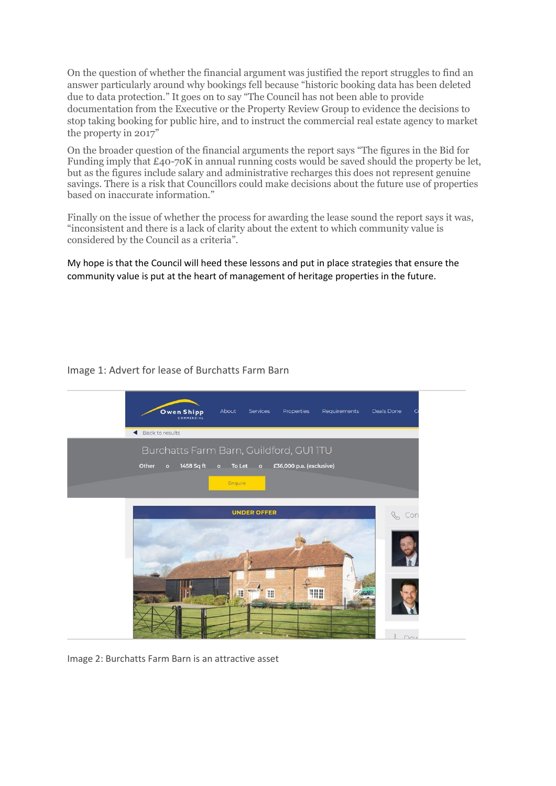On the question of whether the financial argument was justified the report struggles to find an answer particularly around why bookings fell because "historic booking data has been deleted due to data protection." It goes on to say "The Council has not been able to provide documentation from the Executive or the Property Review Group to evidence the decisions to stop taking booking for public hire, and to instruct the commercial real estate agency to market the property in 2017"

On the broader question of the financial arguments the report says "The figures in the Bid for Funding imply that £40-70K in annual running costs would be saved should the property be let, but as the figures include salary and administrative recharges this does not represent genuine savings. There is a risk that Councillors could make decisions about the future use of properties based on inaccurate information."

Finally on the issue of whether the process for awarding the lease sound the report says it was, "inconsistent and there is a lack of clarity about the extent to which community value is considered by the Council as a criteria".

My hope is that the Council will heed these lessons and put in place strategies that ensure the community value is put at the heart of management of heritage properties in the future.

#### Image 1: Advert for lease of Burchatts Farm Barn



Image 2: Burchatts Farm Barn is an attractive asset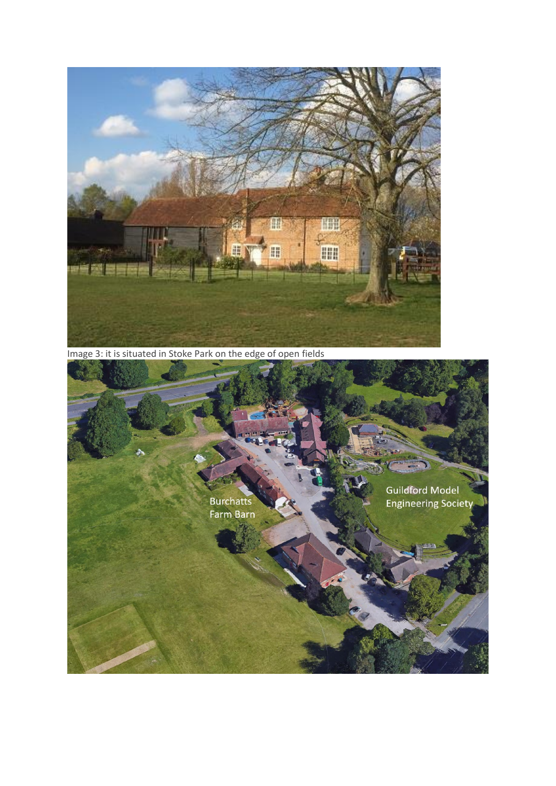

Image 3: it is situated in Stoke Park on the edge of open fields

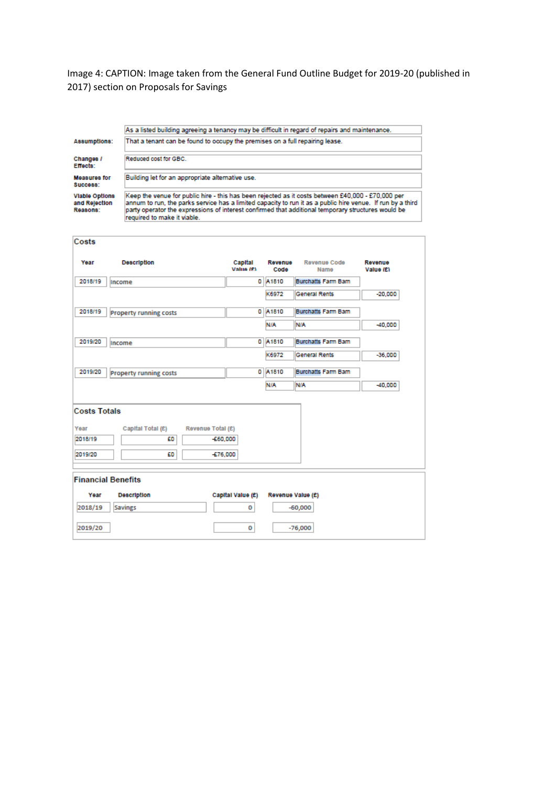Image 4: CAPTION: Image taken from the General Fund Outline Budget for 2019-20 (published in 2017) section on Proposals for Savings

As a listed building agreeing a tenancy may be difficult in regard of repairs and maintenance. That a tenant can be found to occupy the premises on a full repairing lease.

Changes /<br>Effects:

Measures for Building let for an appropriate alternative use.

Reduced cost for GBC.

Success: **Viable Options** and Rejection<br>Reasons:

Keep the venue for public hire - this has been rejected as it costs between £40,000 - £70,000 per<br>annum to run, the parks service has a limited capacity to run it as a public hire venue. If run by a third<br>party operator th required to make it viable.

| Costs                                             |                                                    |                          |                 |                            |                      |
|---------------------------------------------------|----------------------------------------------------|--------------------------|-----------------|----------------------------|----------------------|
| Year                                              | <b>Description</b>                                 | Capital<br>Value (£1)    | Revenue<br>Code | Revenue Code<br>Name       | Revenue<br>Value (£) |
| 2018/19                                           | Income                                             |                          | 0 A1810         | <b>Burchatts Farm Barn</b> |                      |
|                                                   |                                                    |                          | K6972           | <b>General Rents</b>       | $-20,000$            |
| 2018/19                                           | <b>Property running costs</b>                      |                          | 0 A1810         | <b>Burchatts Farm Barn</b> |                      |
|                                                   |                                                    |                          | <b>NIA</b>      | <b>NIA</b>                 | $-40,000$            |
| 2019/20                                           | Income                                             | ٥                        | A1810           | <b>Burchatts Farm Barn</b> |                      |
|                                                   |                                                    |                          | K6972           | <b>General Rents</b>       | $-36,000$            |
| 2019/20                                           | <b>Property running costs</b>                      |                          | 0 A1810         | <b>Burchatts Farm Barn</b> |                      |
|                                                   |                                                    |                          | <b>N/A</b>      | <b>N/A</b>                 | $-40,000$            |
| <b>Costs Totals</b><br>Year<br>2018/19<br>2019/20 | Capital Total (£)<br>Revenue Total (£)<br>£O<br>£O | $-660,000$<br>$-576,000$ |                 |                            |                      |
|                                                   | <b>Financial Benefits</b>                          |                          |                 |                            |                      |
| Year                                              | <b>Description</b>                                 | Capital Value (£)        |                 | Revenue Value (£)          |                      |
| 2018/19                                           | <b>Savings</b>                                     | o                        |                 | $-60,000$                  |                      |
| 2019/20                                           |                                                    | o                        |                 | $-76,000$                  |                      |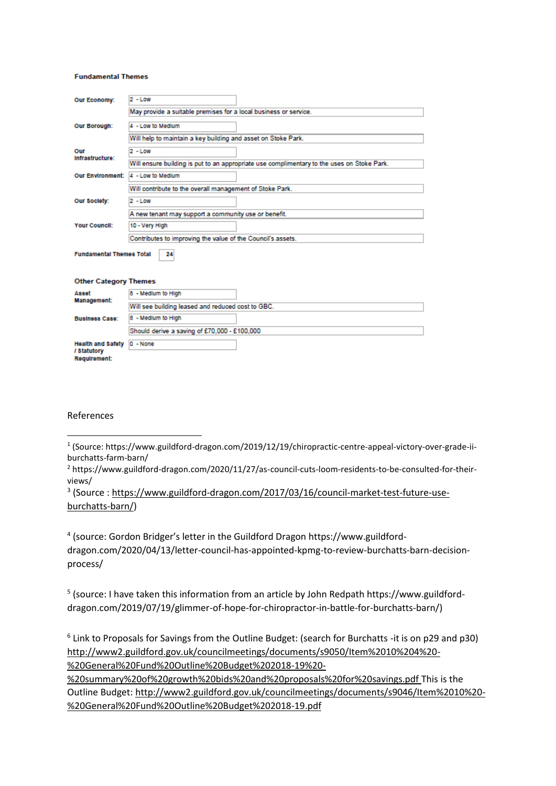#### **Fundamental Themes**

| <b>Our Economy:</b>                     | $2 - Low$                                                                                  |  |  |  |  |
|-----------------------------------------|--------------------------------------------------------------------------------------------|--|--|--|--|
|                                         | May provide a suitable premises for a local business or service.                           |  |  |  |  |
| <b>Our Borough:</b>                     | 4 - Low to Medium                                                                          |  |  |  |  |
|                                         | Will help to maintain a key building and asset on Stoke Park.                              |  |  |  |  |
| Our<br>Infrastructure:                  | $2 - Low$                                                                                  |  |  |  |  |
|                                         | Will ensure building is put to an appropriate use complimentary to the uses on Stoke Park. |  |  |  |  |
| <b>Our Environment:</b>                 | 4 - Low to Medium                                                                          |  |  |  |  |
|                                         | Will contribute to the overall management of Stoke Park.                                   |  |  |  |  |
| Our Society:                            | $2 - L$ ow                                                                                 |  |  |  |  |
|                                         | A new tenant may support a community use or benefit.                                       |  |  |  |  |
| <b>Your Council:</b>                    | 10 - Very High                                                                             |  |  |  |  |
|                                         | Contributes to improving the value of the Council's assets.                                |  |  |  |  |
| <b>Fundamental Themes Total</b>         | 24                                                                                         |  |  |  |  |
| <b>Other Category Themes</b>            |                                                                                            |  |  |  |  |
| Asset                                   | 8 - Medium to High                                                                         |  |  |  |  |
| Management:                             | Will see building leased and reduced cost to GBC.                                          |  |  |  |  |
| <b>Business Case:</b>                   | 8 - Medium to High                                                                         |  |  |  |  |
|                                         | Should derive a saving of £70,000 - £100,000                                               |  |  |  |  |
| <b>Health and Safety</b><br>/ Statutory | $0 - None$                                                                                 |  |  |  |  |

#### References

Requirement:

<sup>3</sup> (Source : [https://www.guildford-dragon.com/2017/03/16/council-market-test-future-use](https://www.guildford-dragon.com/2017/03/16/council-market-test-future-use-burchatts-barn/)[burchatts-barn/\)](https://www.guildford-dragon.com/2017/03/16/council-market-test-future-use-burchatts-barn/)

4 (source: Gordon Bridger's letter in the Guildford Dragon https://www.guildforddragon.com/2020/04/13/letter-council-has-appointed-kpmg-to-review-burchatts-barn-decisionprocess/

5 (source: I have taken this information from an article by John Redpath https://www.guildforddragon.com/2019/07/19/glimmer-of-hope-for-chiropractor-in-battle-for-burchatts-barn/)

6 Link to Proposals for Savings from the Outline Budget: (search for Burchatts -it is on p29 and p30) [http://www2.guildford.gov.uk/councilmeetings/documents/s9050/Item%2010%204%20-](http://www2.guildford.gov.uk/councilmeetings/documents/s9050/Item%2010%204%20-%20General%20Fund%20Outline%20Budget%202018-19%20-%20summary%20of%20growth%20bids%20and%20proposals%20for%20savings.pdf) [%20General%20Fund%20Outline%20Budget%202018-19%20-](http://www2.guildford.gov.uk/councilmeetings/documents/s9050/Item%2010%204%20-%20General%20Fund%20Outline%20Budget%202018-19%20-%20summary%20of%20growth%20bids%20and%20proposals%20for%20savings.pdf)

[%20summary%20of%20growth%20bids%20and%20proposals%20for%20savings.pdf](http://www2.guildford.gov.uk/councilmeetings/documents/s9050/Item%2010%204%20-%20General%20Fund%20Outline%20Budget%202018-19%20-%20summary%20of%20growth%20bids%20and%20proposals%20for%20savings.pdf) This is the Outline Budget: [http://www2.guildford.gov.uk/councilmeetings/documents/s9046/Item%2010%20-](http://www2.guildford.gov.uk/councilmeetings/documents/s9046/Item%2010%20-%20General%20Fund%20Outline%20Budget%202018-19.pdf) [%20General%20Fund%20Outline%20Budget%202018-19.pdf](http://www2.guildford.gov.uk/councilmeetings/documents/s9046/Item%2010%20-%20General%20Fund%20Outline%20Budget%202018-19.pdf)

<sup>&</sup>lt;sup>1</sup> (Source: [https://www.guildford-dragon.com/2019/12/19/chiropractic-centre-appeal-victory-over-grade-ii](https://www.guildford-dragon.com/2019/12/19/chiropractic-centre-appeal-victory-over-grade-ii-burchatts-farm-barn/)[burchatts-farm-barn/](https://www.guildford-dragon.com/2019/12/19/chiropractic-centre-appeal-victory-over-grade-ii-burchatts-farm-barn/)

<sup>2</sup> https://www.guildford-dragon.com/2020/11/27/as-council-cuts-loom-residents-to-be-consulted-for-theirviews/